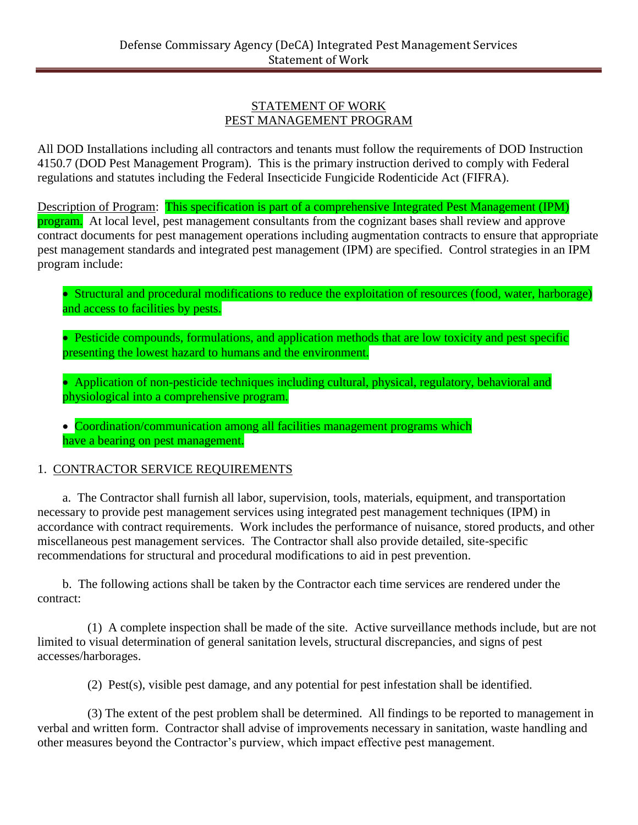#### STATEMENT OF WORK PEST MANAGEMENT PROGRAM

All DOD Installations including all contractors and tenants must follow the requirements of DOD Instruction 4150.7 (DOD Pest Management Program). This is the primary instruction derived to comply with Federal regulations and statutes including the Federal Insecticide Fungicide Rodenticide Act (FIFRA).

Description of Program: This specification is part of a comprehensive Integrated Pest Management (IPM) program. At local level, pest management consultants from the cognizant bases shall review and approve contract documents for pest management operations including augmentation contracts to ensure that appropriate pest management standards and integrated pest management (IPM) are specified. Control strategies in an IPM program include:

• Structural and procedural modifications to reduce the exploitation of resources (food, water, harborage) and access to facilities by pests.

• Pesticide compounds, formulations, and application methods that are low toxicity and pest specific presenting the lowest hazard to humans and the environment.

• Application of non-pesticide techniques including cultural, physical, regulatory, behavioral and physiological into a comprehensive program.

• Coordination/communication among all facilities management programs which have a bearing on pest management.

# 1. CONTRACTOR SERVICE REQUIREMENTS

a. The Contractor shall furnish all labor, supervision, tools, materials, equipment, and transportation necessary to provide pest management services using integrated pest management techniques (IPM) in accordance with contract requirements. Work includes the performance of nuisance, stored products, and other miscellaneous pest management services. The Contractor shall also provide detailed, site-specific recommendations for structural and procedural modifications to aid in pest prevention.

b. The following actions shall be taken by the Contractor each time services are rendered under the contract:

(1) A complete inspection shall be made of the site. Active surveillance methods include, but are not limited to visual determination of general sanitation levels, structural discrepancies, and signs of pest accesses/harborages.

(2) Pest(s), visible pest damage, and any potential for pest infestation shall be identified.

(3) The extent of the pest problem shall be determined. All findings to be reported to management in verbal and written form. Contractor shall advise of improvements necessary in sanitation, waste handling and other measures beyond the Contractor's purview, which impact effective pest management.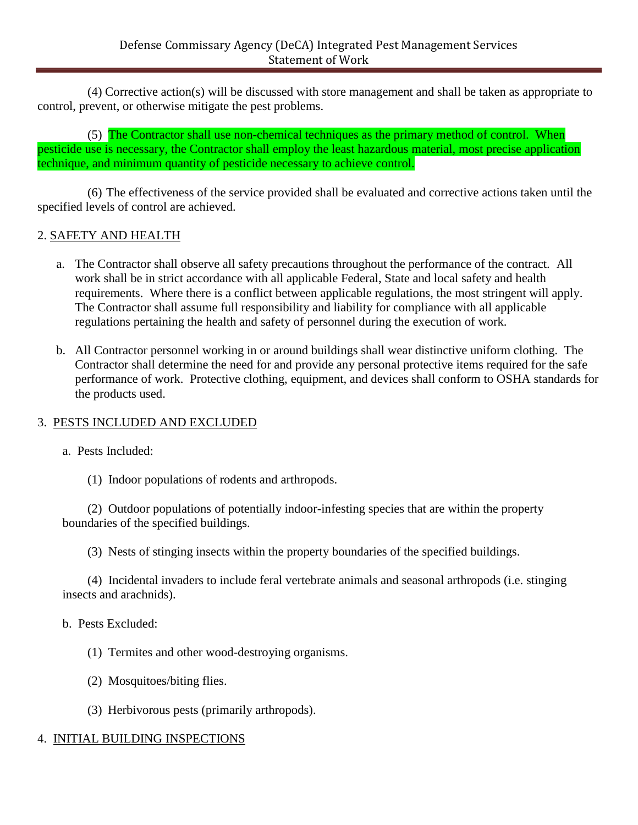(4) Corrective action(s) will be discussed with store management and shall be taken as appropriate to control, prevent, or otherwise mitigate the pest problems.

(5) The Contractor shall use non-chemical techniques as the primary method of control. When pesticide use is necessary, the Contractor shall employ the least hazardous material, most precise application technique, and minimum quantity of pesticide necessary to achieve control.

(6) The effectiveness of the service provided shall be evaluated and corrective actions taken until the specified levels of control are achieved.

# 2. SAFETY AND HEALTH

- a. The Contractor shall observe all safety precautions throughout the performance of the contract. All work shall be in strict accordance with all applicable Federal, State and local safety and health requirements. Where there is a conflict between applicable regulations, the most stringent will apply. The Contractor shall assume full responsibility and liability for compliance with all applicable regulations pertaining the health and safety of personnel during the execution of work.
- b. All Contractor personnel working in or around buildings shall wear distinctive uniform clothing. The Contractor shall determine the need for and provide any personal protective items required for the safe performance of work. Protective clothing, equipment, and devices shall conform to OSHA standards for the products used.

### 3. PESTS INCLUDED AND EXCLUDED

a. Pests Included:

(1) Indoor populations of rodents and arthropods.

(2) Outdoor populations of potentially indoor-infesting species that are within the property boundaries of the specified buildings.

(3) Nests of stinging insects within the property boundaries of the specified buildings.

(4) Incidental invaders to include feral vertebrate animals and seasonal arthropods (i.e. stinging insects and arachnids).

b. Pests Excluded:

- (1) Termites and other wood-destroying organisms.
- (2) Mosquitoes/biting flies.
- (3) Herbivorous pests (primarily arthropods).

### 4. INITIAL BUILDING INSPECTIONS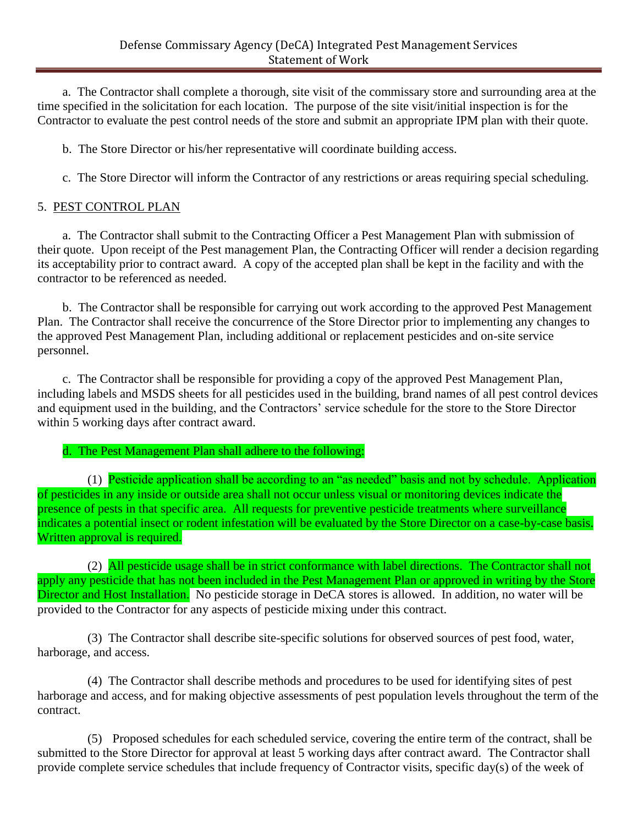a. The Contractor shall complete a thorough, site visit of the commissary store and surrounding area at the time specified in the solicitation for each location. The purpose of the site visit/initial inspection is for the Contractor to evaluate the pest control needs of the store and submit an appropriate IPM plan with their quote.

b. The Store Director or his/her representative will coordinate building access.

c. The Store Director will inform the Contractor of any restrictions or areas requiring special scheduling.

### 5. PEST CONTROL PLAN

a. The Contractor shall submit to the Contracting Officer a Pest Management Plan with submission of their quote. Upon receipt of the Pest management Plan, the Contracting Officer will render a decision regarding its acceptability prior to contract award. A copy of the accepted plan shall be kept in the facility and with the contractor to be referenced as needed.

b. The Contractor shall be responsible for carrying out work according to the approved Pest Management Plan. The Contractor shall receive the concurrence of the Store Director prior to implementing any changes to the approved Pest Management Plan, including additional or replacement pesticides and on-site service personnel.

c. The Contractor shall be responsible for providing a copy of the approved Pest Management Plan, including labels and MSDS sheets for all pesticides used in the building, brand names of all pest control devices and equipment used in the building, and the Contractors' service schedule for the store to the Store Director within 5 working days after contract award.

# d. The Pest Management Plan shall adhere to the following:

(1) Pesticide application shall be according to an "as needed" basis and not by schedule. Application of pesticides in any inside or outside area shall not occur unless visual or monitoring devices indicate the presence of pests in that specific area. All requests for preventive pesticide treatments where surveillance indicates a potential insect or rodent infestation will be evaluated by the Store Director on a case-by-case basis. Written approval is required.

(2) All pesticide usage shall be in strict conformance with label directions. The Contractor shall not apply any pesticide that has not been included in the Pest Management Plan or approved in writing by the Store Director and Host Installation. No pesticide storage in DeCA stores is allowed. In addition, no water will be provided to the Contractor for any aspects of pesticide mixing under this contract.

(3) The Contractor shall describe site-specific solutions for observed sources of pest food, water, harborage, and access.

(4) The Contractor shall describe methods and procedures to be used for identifying sites of pest harborage and access, and for making objective assessments of pest population levels throughout the term of the contract.

(5) Proposed schedules for each scheduled service, covering the entire term of the contract, shall be submitted to the Store Director for approval at least 5 working days after contract award. The Contractor shall provide complete service schedules that include frequency of Contractor visits, specific day(s) of the week of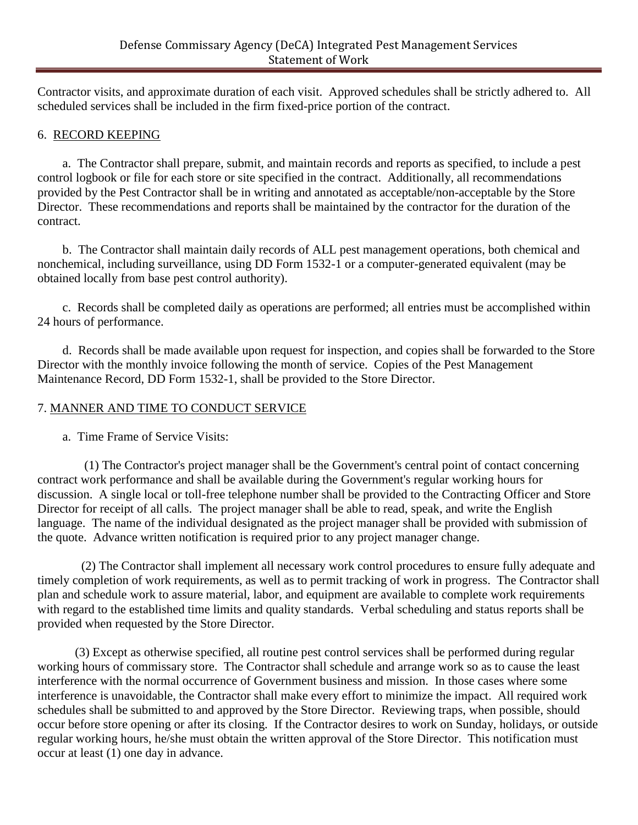Contractor visits, and approximate duration of each visit. Approved schedules shall be strictly adhered to. All scheduled services shall be included in the firm fixed-price portion of the contract.

### 6. RECORD KEEPING

a. The Contractor shall prepare, submit, and maintain records and reports as specified, to include a pest control logbook or file for each store or site specified in the contract. Additionally, all recommendations provided by the Pest Contractor shall be in writing and annotated as acceptable/non-acceptable by the Store Director. These recommendations and reports shall be maintained by the contractor for the duration of the contract.

b. The Contractor shall maintain daily records of ALL pest management operations, both chemical and nonchemical, including surveillance, using DD Form 1532-1 or a computer-generated equivalent (may be obtained locally from base pest control authority).

c. Records shall be completed daily as operations are performed; all entries must be accomplished within 24 hours of performance.

d. Records shall be made available upon request for inspection, and copies shall be forwarded to the Store Director with the monthly invoice following the month of service. Copies of the Pest Management Maintenance Record, DD Form 1532-1, shall be provided to the Store Director.

# 7. MANNER AND TIME TO CONDUCT SERVICE

a. Time Frame of Service Visits:

 (1) The Contractor's project manager shall be the Government's central point of contact concerning contract work performance and shall be available during the Government's regular working hours for discussion. A single local or toll-free telephone number shall be provided to the Contracting Officer and Store Director for receipt of all calls. The project manager shall be able to read, speak, and write the English language. The name of the individual designated as the project manager shall be provided with submission of the quote. Advance written notification is required prior to any project manager change.

 (2) The Contractor shall implement all necessary work control procedures to ensure fully adequate and timely completion of work requirements, as well as to permit tracking of work in progress. The Contractor shall plan and schedule work to assure material, labor, and equipment are available to complete work requirements with regard to the established time limits and quality standards. Verbal scheduling and status reports shall be provided when requested by the Store Director.

(3) Except as otherwise specified, all routine pest control services shall be performed during regular working hours of commissary store. The Contractor shall schedule and arrange work so as to cause the least interference with the normal occurrence of Government business and mission. In those cases where some interference is unavoidable, the Contractor shall make every effort to minimize the impact. All required work schedules shall be submitted to and approved by the Store Director. Reviewing traps, when possible, should occur before store opening or after its closing. If the Contractor desires to work on Sunday, holidays, or outside regular working hours, he/she must obtain the written approval of the Store Director. This notification must occur at least (1) one day in advance.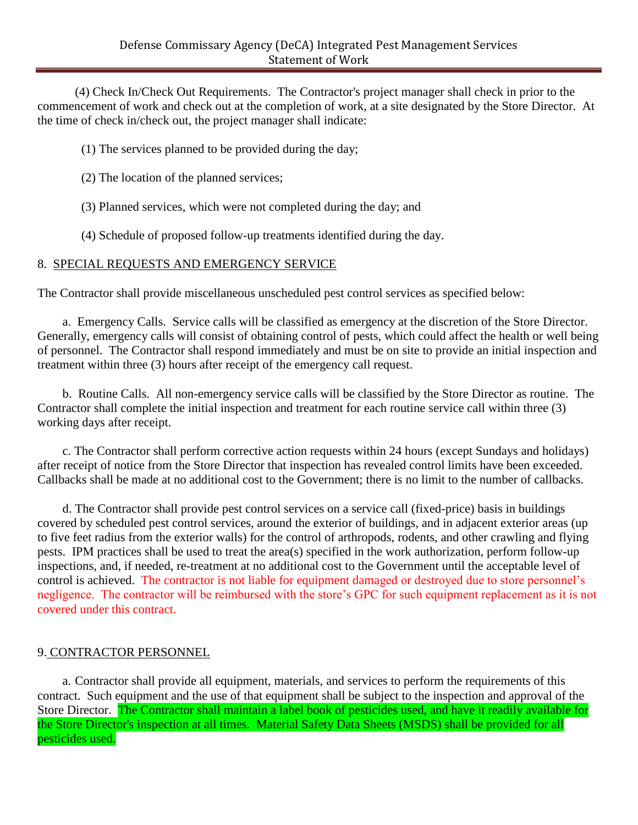(4) Check In/Check Out Requirements. The Contractor's project manager shall check in prior to the commencement of work and check out at the completion of work, at a site designated by the Store Director. At the time of check in/check out, the project manager shall indicate:

- (1) The services planned to be provided during the day;
- (2) The location of the planned services;
- (3) Planned services, which were not completed during the day; and
- (4) Schedule of proposed follow-up treatments identified during the day.

# 8. SPECIAL REQUESTS AND EMERGENCY SERVICE

The Contractor shall provide miscellaneous unscheduled pest control services as specified below:

a. Emergency Calls. Service calls will be classified as emergency at the discretion of the Store Director. Generally, emergency calls will consist of obtaining control of pests, which could affect the health or well being of personnel. The Contractor shall respond immediately and must be on site to provide an initial inspection and treatment within three (3) hours after receipt of the emergency call request.

b. Routine Calls. All non-emergency service calls will be classified by the Store Director as routine. The Contractor shall complete the initial inspection and treatment for each routine service call within three (3) working days after receipt.

c. The Contractor shall perform corrective action requests within 24 hours (except Sundays and holidays) after receipt of notice from the Store Director that inspection has revealed control limits have been exceeded. Callbacks shall be made at no additional cost to the Government; there is no limit to the number of callbacks.

d. The Contractor shall provide pest control services on a service call (fixed-price) basis in buildings covered by scheduled pest control services, around the exterior of buildings, and in adjacent exterior areas (up to five feet radius from the exterior walls) for the control of arthropods, rodents, and other crawling and flying pests. IPM practices shall be used to treat the area(s) specified in the work authorization, perform follow-up inspections, and, if needed, re-treatment at no additional cost to the Government until the acceptable level of control is achieved. The contractor is not liable for equipment damaged or destroyed due to store personnel's negligence. The contractor will be reimbursed with the store's GPC for such equipment replacement as it is not covered under this contract.

# 9. CONTRACTOR PERSONNEL

a. Contractor shall provide all equipment, materials, and services to perform the requirements of this contract. Such equipment and the use of that equipment shall be subject to the inspection and approval of the Store Director. The Contractor shall maintain a label book of pesticides used, and have it readily available for the Store Director's inspection at all times. Material Safety Data Sheets (MSDS) shall be provided for all pesticides used.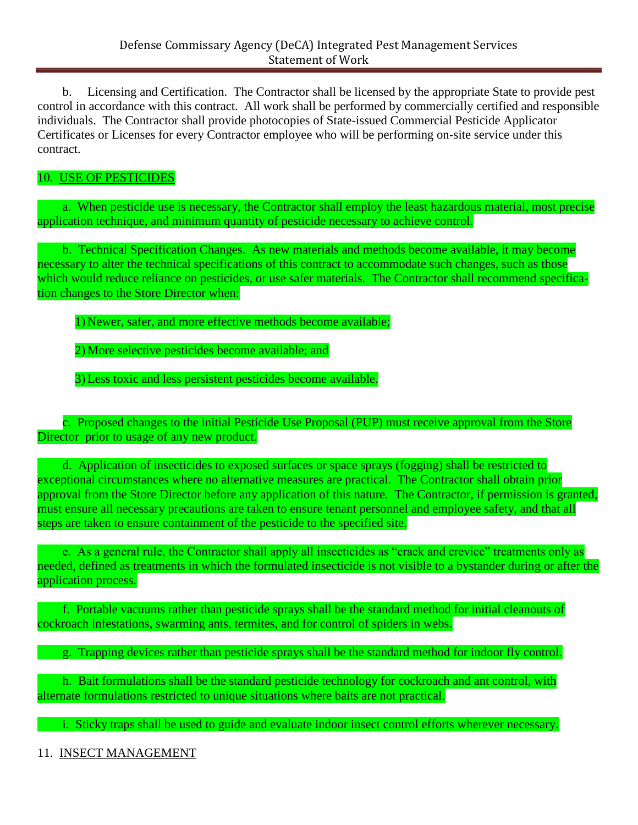b. Licensing and Certification. The Contractor shall be licensed by the appropriate State to provide pest control in accordance with this contract. All work shall be performed by commercially certified and responsible individuals. The Contractor shall provide photocopies of State-issued Commercial Pesticide Applicator Certificates or Licenses for every Contractor employee who will be performing on-site service under this contract.

# 10. USE OF PESTICIDES

a. When pesticide use is necessary, the Contractor shall employ the least hazardous material, most precise application technique, and minimum quantity of pesticide necessary to achieve control.

b. Technical Specification Changes. As new materials and methods become available, it may become necessary to alter the technical specifications of this contract to accommodate such changes, such as those which would reduce reliance on pesticides, or use safer materials. The Contractor shall recommend specification changes to the Store Director when:

1) Newer, safer, and more effective methods become available;

2) More selective pesticides become available; and

3) Less toxic and less persistent pesticides become available.

c. Proposed changes to the initial Pesticide Use Proposal (PUP) must receive approval from the Store Director prior to usage of any new product.

d. Application of insecticides to exposed surfaces or space sprays (fogging) shall be restricted to exceptional circumstances where no alternative measures are practical. The Contractor shall obtain prior approval from the Store Director before any application of this nature. The Contractor, if permission is granted, must ensure all necessary precautions are taken to ensure tenant personnel and employee safety, and that all steps are taken to ensure containment of the pesticide to the specified site.

e. As a general rule, the Contractor shall apply all insecticides as "crack and crevice" treatments only as needed, defined as treatments in which the formulated insecticide is not visible to a bystander during or after the application process.

f. Portable vacuums rather than pesticide sprays shall be the standard method for initial cleanouts of cockroach infestations, swarming ants, termites, and for control of spiders in webs.

g. Trapping devices rather than pesticide sprays shall be the standard method for indoor fly control.

h. Bait formulations shall be the standard pesticide technology for cockroach and ant control, with alternate formulations restricted to unique situations where baits are not practical.

i. Sticky traps shall be used to guide and evaluate indoor insect control efforts wherever necessary.

11. INSECT MANAGEMENT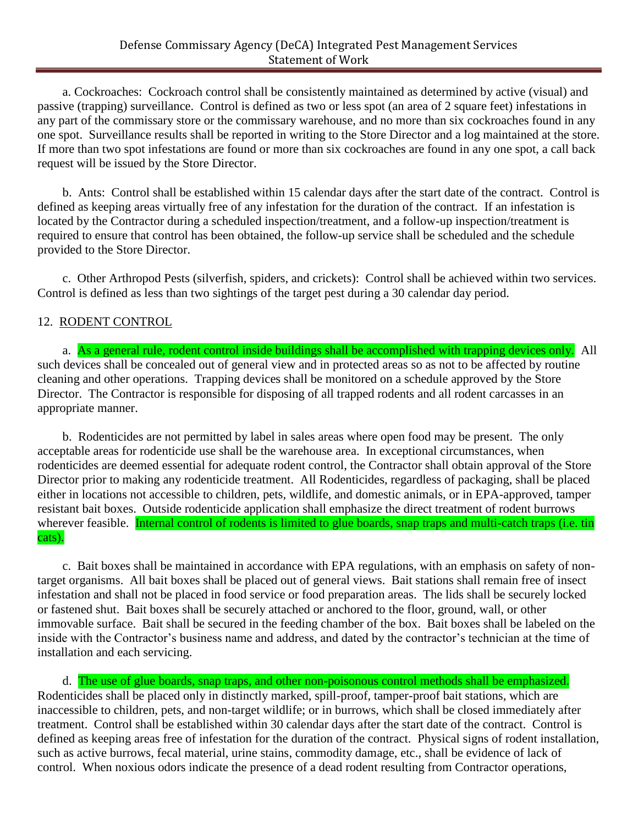a. Cockroaches: Cockroach control shall be consistently maintained as determined by active (visual) and passive (trapping) surveillance. Control is defined as two or less spot (an area of 2 square feet) infestations in any part of the commissary store or the commissary warehouse, and no more than six cockroaches found in any one spot. Surveillance results shall be reported in writing to the Store Director and a log maintained at the store. If more than two spot infestations are found or more than six cockroaches are found in any one spot, a call back request will be issued by the Store Director.

b. Ants: Control shall be established within 15 calendar days after the start date of the contract. Control is defined as keeping areas virtually free of any infestation for the duration of the contract. If an infestation is located by the Contractor during a scheduled inspection/treatment, and a follow-up inspection/treatment is required to ensure that control has been obtained, the follow-up service shall be scheduled and the schedule provided to the Store Director.

c. Other Arthropod Pests (silverfish, spiders, and crickets): Control shall be achieved within two services. Control is defined as less than two sightings of the target pest during a 30 calendar day period.

#### 12. RODENT CONTROL

a. As a general rule, rodent control inside buildings shall be accomplished with trapping devices only. All such devices shall be concealed out of general view and in protected areas so as not to be affected by routine cleaning and other operations. Trapping devices shall be monitored on a schedule approved by the Store Director. The Contractor is responsible for disposing of all trapped rodents and all rodent carcasses in an appropriate manner.

b. Rodenticides are not permitted by label in sales areas where open food may be present. The only acceptable areas for rodenticide use shall be the warehouse area. In exceptional circumstances, when rodenticides are deemed essential for adequate rodent control, the Contractor shall obtain approval of the Store Director prior to making any rodenticide treatment. All Rodenticides, regardless of packaging, shall be placed either in locations not accessible to children, pets, wildlife, and domestic animals, or in EPA-approved, tamper resistant bait boxes. Outside rodenticide application shall emphasize the direct treatment of rodent burrows wherever feasible. Internal control of rodents is limited to glue boards, snap traps and multi-catch traps (i.e. tin cats).

c. Bait boxes shall be maintained in accordance with EPA regulations, with an emphasis on safety of nontarget organisms. All bait boxes shall be placed out of general views. Bait stations shall remain free of insect infestation and shall not be placed in food service or food preparation areas. The lids shall be securely locked or fastened shut. Bait boxes shall be securely attached or anchored to the floor, ground, wall, or other immovable surface. Bait shall be secured in the feeding chamber of the box. Bait boxes shall be labeled on the inside with the Contractor's business name and address, and dated by the contractor's technician at the time of installation and each servicing.

d. The use of glue boards, snap traps, and other non-poisonous control methods shall be emphasized. Rodenticides shall be placed only in distinctly marked, spill-proof, tamper-proof bait stations, which are inaccessible to children, pets, and non-target wildlife; or in burrows, which shall be closed immediately after treatment. Control shall be established within 30 calendar days after the start date of the contract. Control is defined as keeping areas free of infestation for the duration of the contract. Physical signs of rodent installation, such as active burrows, fecal material, urine stains, commodity damage, etc., shall be evidence of lack of control. When noxious odors indicate the presence of a dead rodent resulting from Contractor operations,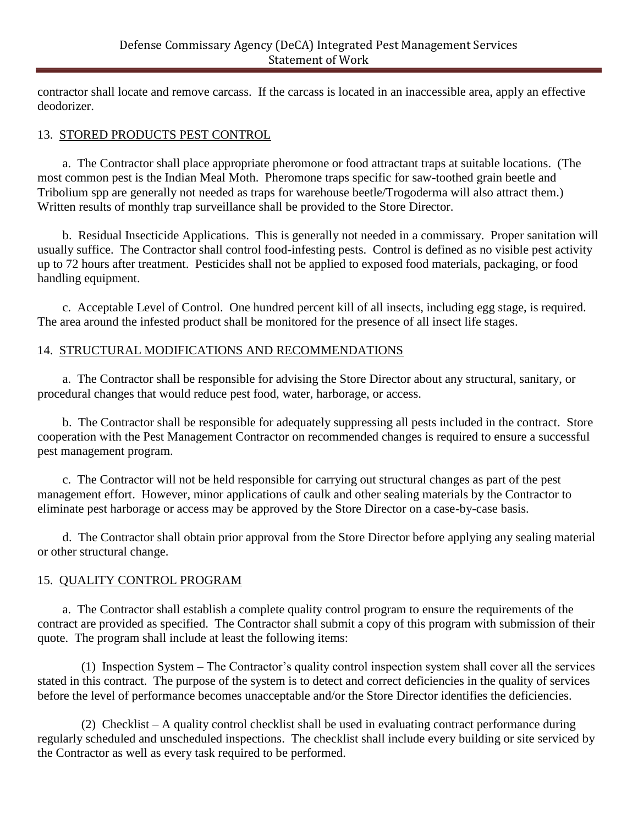contractor shall locate and remove carcass. If the carcass is located in an inaccessible area, apply an effective deodorizer.

### 13. STORED PRODUCTS PEST CONTROL

a. The Contractor shall place appropriate pheromone or food attractant traps at suitable locations. (The most common pest is the Indian Meal Moth. Pheromone traps specific for saw-toothed grain beetle and Tribolium spp are generally not needed as traps for warehouse beetle/Trogoderma will also attract them.) Written results of monthly trap surveillance shall be provided to the Store Director.

b. Residual Insecticide Applications. This is generally not needed in a commissary. Proper sanitation will usually suffice. The Contractor shall control food-infesting pests. Control is defined as no visible pest activity up to 72 hours after treatment. Pesticides shall not be applied to exposed food materials, packaging, or food handling equipment.

c. Acceptable Level of Control. One hundred percent kill of all insects, including egg stage, is required. The area around the infested product shall be monitored for the presence of all insect life stages.

# 14. STRUCTURAL MODIFICATIONS AND RECOMMENDATIONS

a. The Contractor shall be responsible for advising the Store Director about any structural, sanitary, or procedural changes that would reduce pest food, water, harborage, or access.

b. The Contractor shall be responsible for adequately suppressing all pests included in the contract. Store cooperation with the Pest Management Contractor on recommended changes is required to ensure a successful pest management program.

c. The Contractor will not be held responsible for carrying out structural changes as part of the pest management effort. However, minor applications of caulk and other sealing materials by the Contractor to eliminate pest harborage or access may be approved by the Store Director on a case-by-case basis.

d. The Contractor shall obtain prior approval from the Store Director before applying any sealing material or other structural change.

### 15. QUALITY CONTROL PROGRAM

a. The Contractor shall establish a complete quality control program to ensure the requirements of the contract are provided as specified. The Contractor shall submit a copy of this program with submission of their quote. The program shall include at least the following items:

 (1) Inspection System – The Contractor's quality control inspection system shall cover all the services stated in this contract. The purpose of the system is to detect and correct deficiencies in the quality of services before the level of performance becomes unacceptable and/or the Store Director identifies the deficiencies.

 (2) Checklist – A quality control checklist shall be used in evaluating contract performance during regularly scheduled and unscheduled inspections. The checklist shall include every building or site serviced by the Contractor as well as every task required to be performed.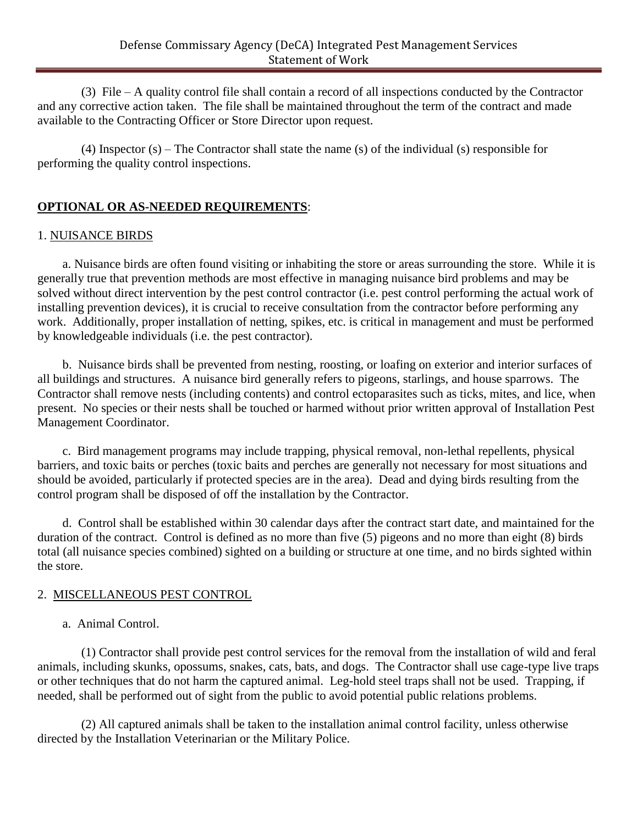(3) File – A quality control file shall contain a record of all inspections conducted by the Contractor and any corrective action taken. The file shall be maintained throughout the term of the contract and made available to the Contracting Officer or Store Director upon request.

 (4) Inspector (s) – The Contractor shall state the name (s) of the individual (s) responsible for performing the quality control inspections.

# **OPTIONAL OR AS-NEEDED REQUIREMENTS**:

### 1. NUISANCE BIRDS

a. Nuisance birds are often found visiting or inhabiting the store or areas surrounding the store. While it is generally true that prevention methods are most effective in managing nuisance bird problems and may be solved without direct intervention by the pest control contractor (i.e. pest control performing the actual work of installing prevention devices), it is crucial to receive consultation from the contractor before performing any work. Additionally, proper installation of netting, spikes, etc. is critical in management and must be performed by knowledgeable individuals (i.e. the pest contractor).

b. Nuisance birds shall be prevented from nesting, roosting, or loafing on exterior and interior surfaces of all buildings and structures. A nuisance bird generally refers to pigeons, starlings, and house sparrows. The Contractor shall remove nests (including contents) and control ectoparasites such as ticks, mites, and lice, when present. No species or their nests shall be touched or harmed without prior written approval of Installation Pest Management Coordinator.

c. Bird management programs may include trapping, physical removal, non-lethal repellents, physical barriers, and toxic baits or perches (toxic baits and perches are generally not necessary for most situations and should be avoided, particularly if protected species are in the area). Dead and dying birds resulting from the control program shall be disposed of off the installation by the Contractor.

d. Control shall be established within 30 calendar days after the contract start date, and maintained for the duration of the contract. Control is defined as no more than five (5) pigeons and no more than eight (8) birds total (all nuisance species combined) sighted on a building or structure at one time, and no birds sighted within the store.

### 2. MISCELLANEOUS PEST CONTROL

a. Animal Control.

 (1) Contractor shall provide pest control services for the removal from the installation of wild and feral animals, including skunks, opossums, snakes, cats, bats, and dogs. The Contractor shall use cage-type live traps or other techniques that do not harm the captured animal. Leg-hold steel traps shall not be used. Trapping, if needed, shall be performed out of sight from the public to avoid potential public relations problems.

 (2) All captured animals shall be taken to the installation animal control facility, unless otherwise directed by the Installation Veterinarian or the Military Police.